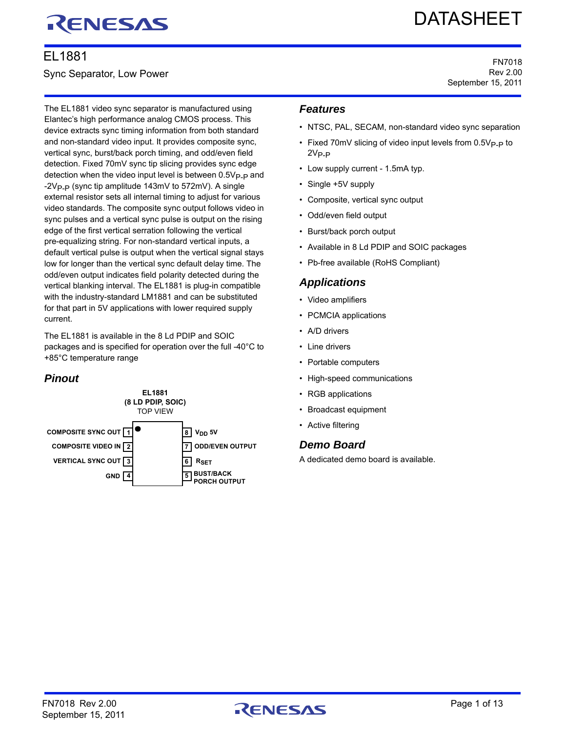# RENESAS

# EL1881

Sync Separator, Low Power

# **DATASHEET**

FN7018 Rev 2.00 September 15, 2011

The EL1881 video sync separator is manufactured using Elantec's high performance analog CMOS process. This device extracts sync timing information from both standard and non-standard video input. It provides composite sync, vertical sync, burst/back porch timing, and odd/even field detection. Fixed 70mV sync tip slicing provides sync edge detection when the video input level is between  $0.5V_{\text{P-P}}$  and  $-2V_{P-P}$  (sync tip amplitude 143mV to 572mV). A single external resistor sets all internal timing to adjust for various video standards. The composite sync output follows video in sync pulses and a vertical sync pulse is output on the rising edge of the first vertical serration following the vertical pre-equalizing string. For non-standard vertical inputs, a default vertical pulse is output when the vertical signal stays low for longer than the vertical sync default delay time. The odd/even output indicates field polarity detected during the vertical blanking interval. The EL1881 is plug-in compatible with the industry-standard LM1881 and can be substituted for that part in 5V applications with lower required supply current.

The EL1881 is available in the 8 Ld PDIP and SOIC packages and is specified for operation over the full -40°C to +85°C temperature range

# *Pinout*



#### *Features*

- NTSC, PAL, SECAM, non-standard video sync separation
- Fixed 70mV slicing of video input levels from 0.5V<sub>P-P</sub> to  $2V_{P-P}$
- Low supply current 1.5mA typ.
- Single +5V supply
- Composite, vertical sync output
- Odd/even field output
- Burst/back porch output
- Available in 8 Ld PDIP and SOIC packages
- Pb-free available (RoHS Compliant)

#### *Applications*

- Video amplifiers
- PCMCIA applications
- A/D drivers
- Line drivers
- Portable computers
- High-speed communications
- RGB applications
- Broadcast equipment
- Active filtering

#### *Demo Board*

A dedicated demo board is available.

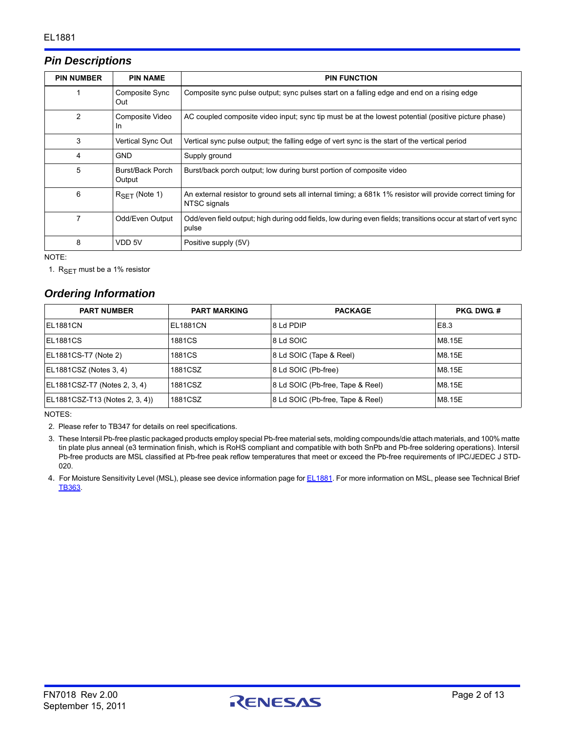### *Pin Descriptions*

| <b>PIN NUMBER</b> | <b>PIN NAME</b>            | <b>PIN FUNCTION</b>                                                                                                         |
|-------------------|----------------------------|-----------------------------------------------------------------------------------------------------------------------------|
|                   | Composite Sync<br>Out      | Composite sync pulse output; sync pulses start on a falling edge and end on a rising edge                                   |
| 2                 | Composite Video<br>In      | AC coupled composite video input; sync tip must be at the lowest potential (positive picture phase)                         |
| 3                 | Vertical Sync Out          | Vertical sync pulse output; the falling edge of vert sync is the start of the vertical period                               |
| 4                 | <b>GND</b>                 | Supply ground                                                                                                               |
| 5                 | Burst/Back Porch<br>Output | Burst/back porch output; low during burst portion of composite video                                                        |
| 6                 | $RSFT$ (Note 1)            | An external resistor to ground sets all internal timing; a 681k 1% resistor will provide correct timing for<br>NTSC signals |
| 7                 | Odd/Even Output            | Odd/even field output; high during odd fields, low during even fields; transitions occur at start of vert sync<br>pulse     |
| 8                 | VDD 5V                     | Positive supply (5V)                                                                                                        |

NOTE:

<span id="page-1-3"></span>1.  $R_{SET}$  must be a 1% resistor

#### *Ordering Information*

| <b>PART NUMBER</b>             | <b>PART MARKING</b> | <b>PACKAGE</b>                   | <b>PKG DWG #</b> |
|--------------------------------|---------------------|----------------------------------|------------------|
| IEL1881CN                      | <b>EL1881CN</b>     | 8 Ld PDIP                        | E8.3             |
| EL1881CS                       | 1881CS              | 8 Ld SOIC                        | M8.15E           |
| EL1881CS-T7 (Note 2)           | 1881CS              | 8 Ld SOIC (Tape & Reel)          | M8.15E           |
| EL1881CSZ (Notes 3, 4)         | 1881CSZ             | 8 Ld SOIC (Pb-free)              | M8.15E           |
| EL1881CSZ-T7 (Notes 2, 3, 4)   | 1881CSZ             | 8 Ld SOIC (Pb-free, Tape & Reel) | M8.15E           |
| EL1881CSZ-T13 (Notes 2, 3, 4)) | 1881CSZ             | 8 Ld SOIC (Pb-free, Tape & Reel) | M8.15E           |

NOTES:

<span id="page-1-0"></span>[2. Please refer to TB347 for details on reel specifications.](http://www.intersil.com/data/tb/tb347.pdf)

- <span id="page-1-1"></span>3. These Intersil Pb-free plastic packaged products employ special Pb-free material sets, molding compounds/die attach materials, and 100% matte tin plate plus anneal (e3 termination finish, which is RoHS compliant and compatible with both SnPb and Pb-free soldering operations). Intersil Pb-free products are MSL classified at Pb-free peak reflow temperatures that meet or exceed the Pb-free requirements of IPC/JEDEC J STD-020.
- <span id="page-1-2"></span>4. For Moisture Sensitivity Level (MSL), please see device information page for **EL1881**. For more information on MSL, please see Technical Brief [TB363](http://www.intersil.com/data/tb/tb363.pdf).

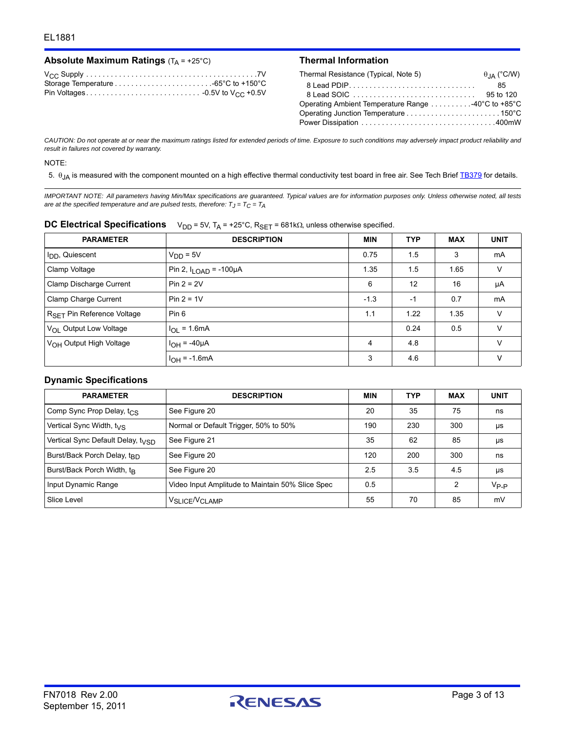| Absolute Maximum Ratings $(T_A = +25^{\circ}C)$ |  |
|-------------------------------------------------|--|
|-------------------------------------------------|--|

#### **Thermal Information**

| Thermal Resistance (Typical, Note 5)              | $\theta_{JA}$ (°C/W) |
|---------------------------------------------------|----------------------|
|                                                   | 85                   |
|                                                   | 95 to 120            |
| Operating Ambient Temperature Range 40°C to +85°C |                      |
|                                                   |                      |
|                                                   |                      |

*CAUTION: Do not operate at or near the maximum ratings listed for extended periods of time. Exposure to such conditions may adversely impact product reliability and result in failures not covered by warranty.*

#### NOTE:

<span id="page-2-0"></span>5.  $\theta_{JA}$  is measured with the component mounted on a high effective thermal conductivity test board in free air. See Tech Brief [TB379](http://www.intersil.com/data/tb/tb379.pdf) for details.

*IMPORTANT NOTE: All parameters having Min/Max specifications are guaranteed. Typical values are for information purposes only. Unless otherwise noted, all tests are at the specified temperature and are pulsed tests, therefore:*  $T_J = T_C = T_A$ 

|  | DC Electrical Specifications $V_{DD} = 5V$ , $T_A = +25^\circ C$ , $R_{SET} = 681k\Omega$ , unless otherwise specified. |
|--|-------------------------------------------------------------------------------------------------------------------------|
|--|-------------------------------------------------------------------------------------------------------------------------|

| <b>PARAMETER</b>                                | <b>DESCRIPTION</b>                | <b>MIN</b> | TYP  | <b>MAX</b> | <b>UNIT</b> |
|-------------------------------------------------|-----------------------------------|------------|------|------------|-------------|
| I <sub>DD</sub> , Quiescent                     | $V_{DD} = 5V$                     | 0.75       | 1.5  | 3          | mA          |
| Clamp Voltage                                   | Pin 2, $I_{\text{LOAD}}$ = -100µA | 1.35       | 1.5  | 1.65       | V           |
| Clamp Discharge Current                         | Pin $2 = 2V$                      | 6          | 12   | 16         | μA          |
| Clamp Charge Current                            | $Pin 2 = 1V$                      | $-1.3$     | -1   | 0.7        | mA          |
| R <sub>SFT</sub> Pin Reference Voltage<br>Pin 6 |                                   | 1.1        | 1.22 | 1.35       | V           |
| V <sub>OL</sub> Output Low Voltage              | $I_{OL}$ = 1.6mA                  |            | 0.24 | 0.5        | V           |
| V <sub>OH</sub> Output High Voltage             | $I_{OH} = -40 \mu A$              | 4          | 4.8  |            | V           |
|                                                 | $I_{OH} = -1.6mA$                 | 3          | 4.6  |            | v           |

#### **Dynamic Specifications**

| <b>PARAMETER</b>                              | <b>DESCRIPTION</b>                               | <b>MIN</b> | <b>TYP</b> | <b>MAX</b> | <b>UNIT</b> |
|-----------------------------------------------|--------------------------------------------------|------------|------------|------------|-------------|
| Comp Sync Prop Delay, t <sub>CS</sub>         | See Figure 20                                    | 20         | 35         | 75         | ns          |
| Vertical Sync Width, t <sub>VS</sub>          | Normal or Default Trigger, 50% to 50%            | 190        | 230        | 300        | μs          |
| Vertical Sync Default Delay, t <sub>VSD</sub> | See Figure 21                                    | 35         | 62         | 85         | μs          |
| Burst/Back Porch Delay, t <sub>RD</sub>       | See Figure 20                                    | 120        | 200        | 300        | ns          |
| Burst/Back Porch Width, t <sub>R</sub>        | See Figure 20                                    | 2.5        | 3.5        | 4.5        | μs          |
| Input Dynamic Range                           | Video Input Amplitude to Maintain 50% Slice Spec | 0.5        |            | 2          | $V_{P-P}$   |
| Slice Level                                   | V <sub>SLICE</sub> /V <sub>CLAMP</sub>           | 55         | 70         | 85         | mV          |

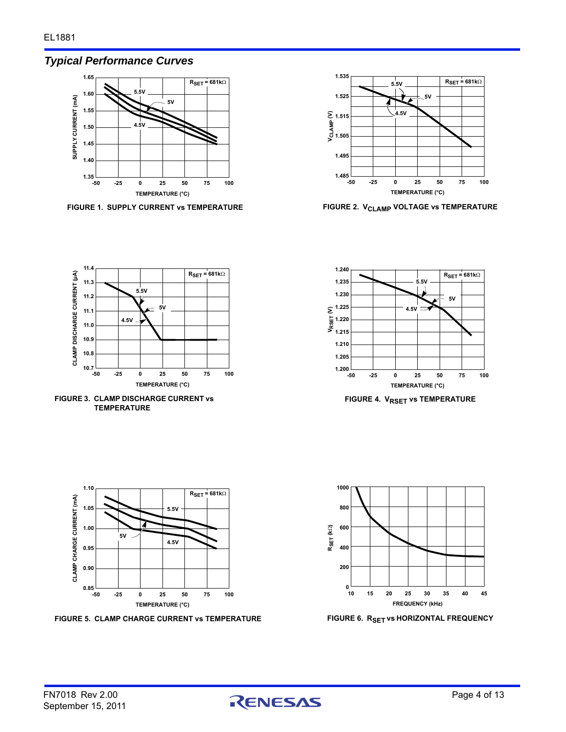# *Typical Performance Curves*



FIGURE 1. SUPPLY CURRENT vs TEMPERATURE **FIGURE 2. V<sub>CLAMP</sub> VOLTAGE vs TEMPERATURE** 





**FIGURE 3. CLAMP DISCHARGE CURRENT vs TEMPERATURE**



**FIGURE 4. V<sub>RSET</sub> vs TEMPERATURE** 



**FIGURE 5. CLAMP CHARGE CURRENT vs TEMPERATURE FIGURE 6. RSET vs HORIZONTAL FREQUENCY**





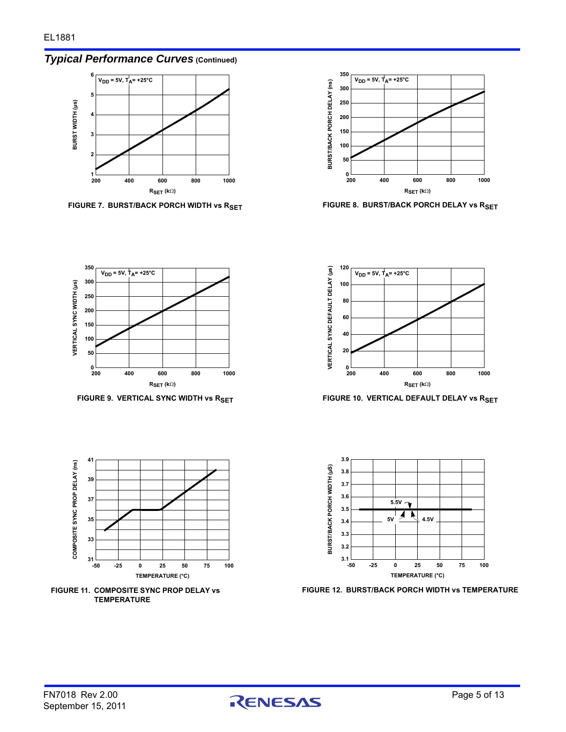# *Typical Performance Curves* **(Continued)**



FIGURE 7. BURST/BACK PORCH WIDTH vs R<sub>SET</sub> FIGURE 8. BURST/BACK PORCH DELAY vs R<sub>SET</sub>











**FIGURE 9. VERTICAL SYNC WIDTH vs RSET FIGURE 10. VERTICAL DEFAULT DELAY vs RSET** 



**FIGURE 12. BURST/BACK PORCH WIDTH vs TEMPERATURE**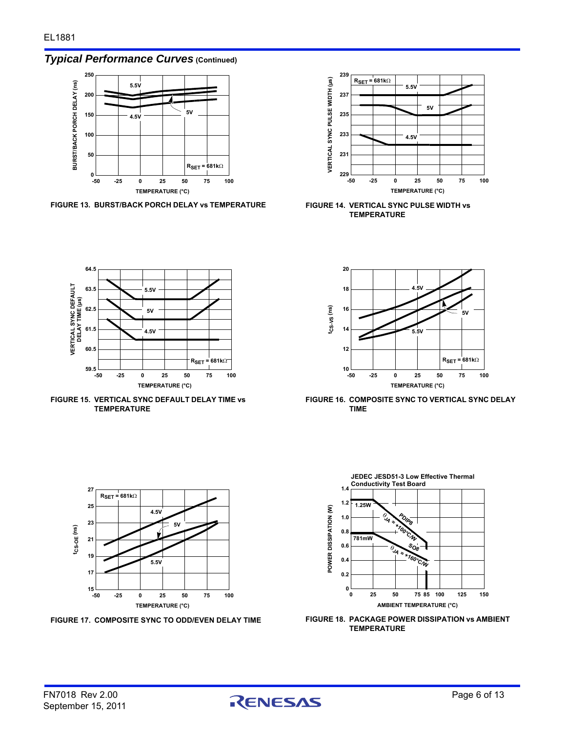*Typical Performance Curves* **(Continued)**



**FIGURE 13. BURST/BACK PORCH DELAY vs TEMPERATURE FIGURE 14. VERTICAL SYNC PULSE WIDTH vs** 



**TEMPERATURE**



**FIGURE 16. COMPOSITE SYNC TO VERTICAL SYNC DELAY TIME**







**FIGURE 15. VERTICAL SYNC DEFAULT DELAY TIME vs TEMPERATURE**



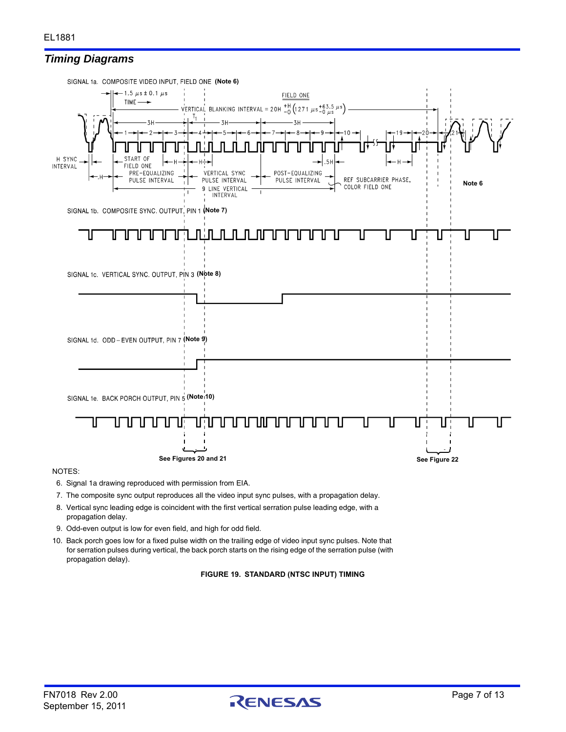



#### NOTES:

- <span id="page-6-4"></span>6. Signal 1a drawing reproduced with permission from EIA.
- <span id="page-6-0"></span>7. The composite sync output reproduces all the video input sync pulses, with a propagation delay.
- <span id="page-6-1"></span>8. Vertical sync leading edge is coincident with the first vertical serration pulse leading edge, with a propagation delay.
- <span id="page-6-2"></span>9. Odd-even output is low for even field, and high for odd field.
- <span id="page-6-3"></span>10. Back porch goes low for a fixed pulse width on the trailing edge of video input sync pulses. Note that for serration pulses during vertical, the back porch starts on the rising edge of the serration pulse (with propagation delay).

**FIGURE 19. STANDARD (NTSC INPUT) TIMING**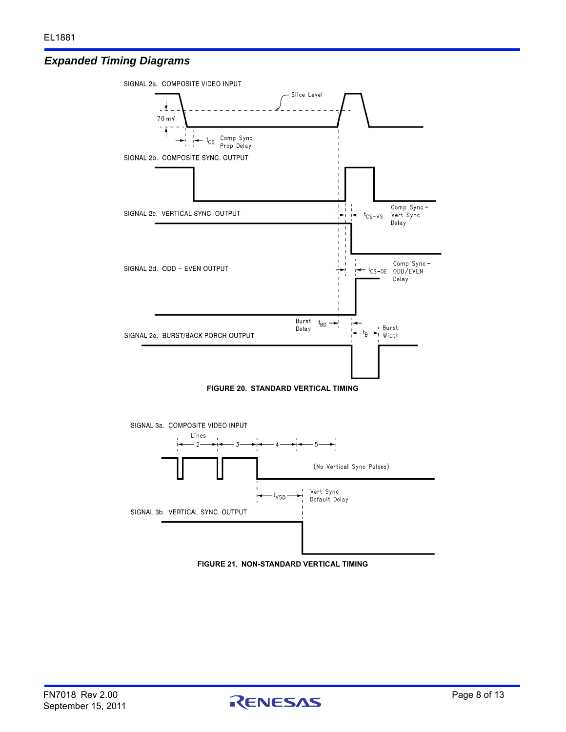#### *Expanded Timing Diagrams*



<span id="page-7-0"></span>



<span id="page-7-1"></span>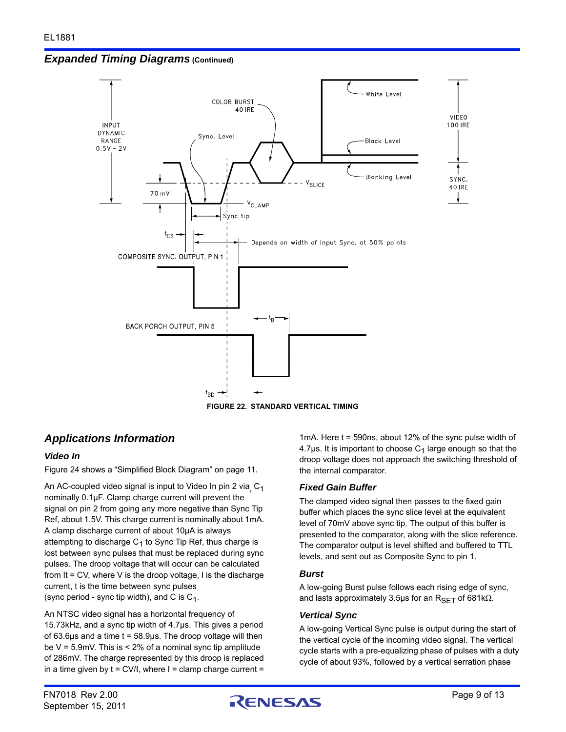*Expanded Timing Diagrams* **(Continued)**



**FIGURE 22. STANDARD VERTICAL TIMING**

# <span id="page-8-0"></span>*Applications Information*

#### *Video In*

Figure [24](#page-10-1) shows a ["Simplified Block Diagram" on page 11](#page-10-0).

An AC-coupled video signal is input to Video In pin 2 via**,** C1 nominally 0.1µF. Clamp charge current will prevent the signal on pin 2 from going any more negative than Sync Tip Ref, about 1.5V. This charge current is nominally about 1mA. A clamp discharge current of about 10µA is always attempting to discharge  $C_1$  to Sync Tip Ref, thus charge is lost between sync pulses that must be replaced during sync pulses. The droop voltage that will occur can be calculated from It = CV, where V is the droop voltage, I is the discharge current, t is the time between sync pulses (sync period - sync tip width), and C is  $C_1$ .

An NTSC video signal has a horizontal frequency of 15.73kHz, and a sync tip width of 4.7µs. This gives a period of  $63.6\mu s$  and a time  $t = 58.9\mu s$ . The droop voltage will then be  $V = 5.9$ mV. This is  $< 2\%$  of a nominal sync tip amplitude of 286mV. The charge represented by this droop is replaced in a time given by  $t = CV/I$ , where  $I = clamp$  charge current =

1mA. Here t = 590ns, about 12% of the sync pulse width of 4.7 $\mu$ s. It is important to choose  $C_1$  large enough so that the droop voltage does not approach the switching threshold of the internal comparator.

#### *Fixed Gain Buffer*

The clamped video signal then passes to the fixed gain buffer which places the sync slice level at the equivalent level of 70mV above sync tip. The output of this buffer is presented to the comparator, along with the slice reference. The comparator output is level shifted and buffered to TTL levels, and sent out as Composite Sync to pin 1.

#### *Burst*

A low-going Burst pulse follows each rising edge of sync, and lasts approximately 3.5 $\mu$ s for an R<sub>SFT</sub> of 681k $\Omega$ .

#### *Vertical Sync*

A low-going Vertical Sync pulse is output during the start of the vertical cycle of the incoming video signal. The vertical cycle starts with a pre-equalizing phase of pulses with a duty cycle of about 93%, followed by a vertical serration phase

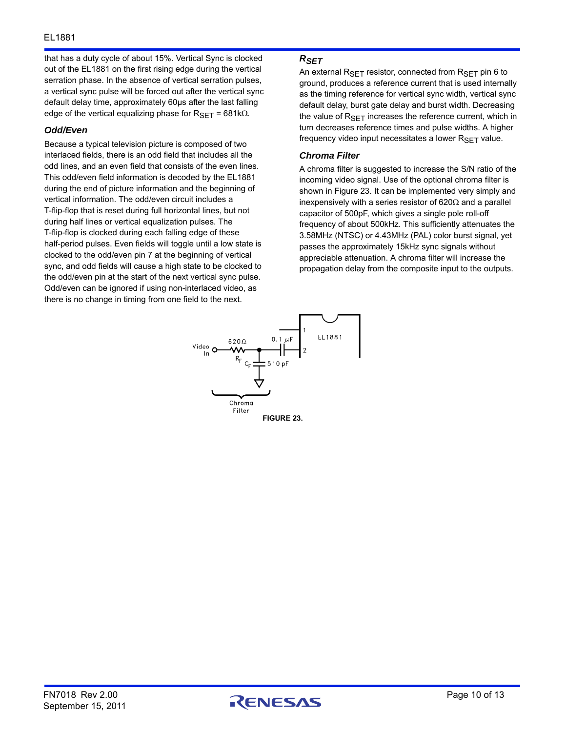that has a duty cycle of about 15%. Vertical Sync is clocked out of the EL1881 on the first rising edge during the vertical serration phase. In the absence of vertical serration pulses, a vertical sync pulse will be forced out after the vertical sync default delay time, approximately 60µs after the last falling edge of the vertical equalizing phase for  $R_{\text{SET}} = 681 \text{k}\Omega$ .

#### *Odd/Even*

Because a typical television picture is composed of two interlaced fields, there is an odd field that includes all the odd lines, and an even field that consists of the even lines. This odd/even field information is decoded by the EL1881 during the end of picture information and the beginning of vertical information. The odd/even circuit includes a T-flip-flop that is reset during full horizontal lines, but not during half lines or vertical equalization pulses. The T-flip-flop is clocked during each falling edge of these half-period pulses. Even fields will toggle until a low state is clocked to the odd/even pin 7 at the beginning of vertical sync, and odd fields will cause a high state to be clocked to the odd/even pin at the start of the next vertical sync pulse. Odd/even can be ignored if using non-interlaced video, as there is no change in timing from one field to the next.

#### *RSET*

An external  $R_{\text{SFT}}$  resistor, connected from  $R_{\text{SFT}}$  pin 6 to ground, produces a reference current that is used internally as the timing reference for vertical sync width, vertical sync default delay, burst gate delay and burst width. Decreasing the value of  $R_{\text{SET}}$  increases the reference current, which in turn decreases reference times and pulse widths. A higher frequency video input necessitates a lower  $R_{\text{SET}}$  value.

#### *Chroma Filter*

A chroma filter is suggested to increase the S/N ratio of the incoming video signal. Use of the optional chroma filter is shown in Figure [23.](#page-9-0) It can be implemented very simply and inexpensively with a series resistor of  $620\Omega$  and a parallel capacitor of 500pF, which gives a single pole roll-off frequency of about 500kHz. This sufficiently attenuates the 3.58MHz (NTSC) or 4.43MHz (PAL) color burst signal, yet passes the approximately 15kHz sync signals without appreciable attenuation. A chroma filter will increase the propagation delay from the composite input to the outputs.

<span id="page-9-0"></span>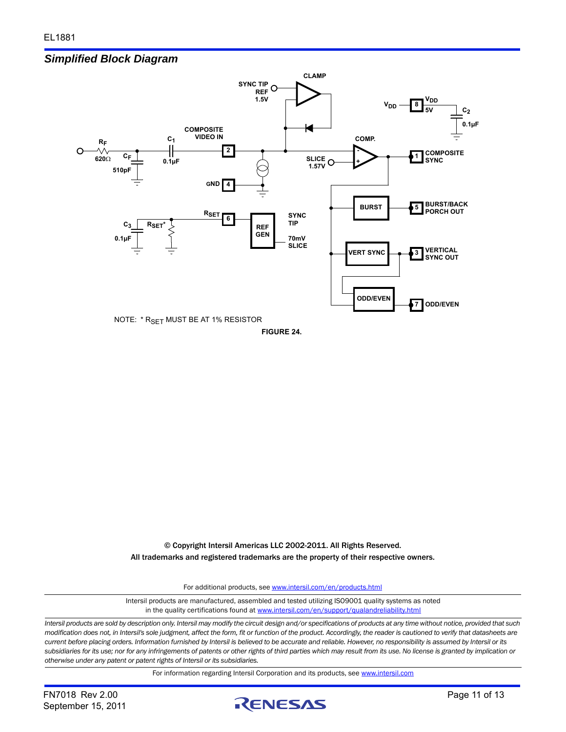#### <span id="page-10-0"></span>*Simplified Block Diagram*



<span id="page-10-1"></span>**FIGURE 24.**

© Copyright Intersil Americas LLC 2002-2011. All Rights Reserved. All trademarks and registered trademarks are the property of their respective owners.

For additional products, see [www.intersil.com/en/products.html](http://www.intersil.com/en/products.html?utm_source=Intersil&utm_medium=datasheet&utm_campaign=disclaimer-ds-footer)

[Intersil products are manufactured, assembled and tested utilizing ISO9001 quality systems as noted](http://www.intersil.com/en/products.html?utm_source=Intersil&utm_medium=datasheet&utm_campaign=disclaimer-ds-footer) in the quality certifications found at [www.intersil.com/en/support/qualandreliability.html](http://www.intersil.com/en/support/qualandreliability.html?utm_source=Intersil&utm_medium=datasheet&utm_campaign=disclaimer-ds-footer)

*Intersil products are sold by description only. Intersil may modify the circuit design and/or specifications of products at any time without notice, provided that such modification does not, in Intersil's sole judgment, affect the form, fit or function of the product. Accordingly, the reader is cautioned to verify that datasheets are current before placing orders. Information furnished by Intersil is believed to be accurate and reliable. However, no responsibility is assumed by Intersil or its subsidiaries for its use; nor for any infringements of patents or other rights of third parties which may result from its use. No license is granted by implication or otherwise under any patent or patent rights of Intersil or its subsidiaries.*

For information regarding Intersil Corporation and its products, see [www.intersil.com](http://www.intersil.com?utm_source=intersil&utm_medium=datasheet&utm_campaign=disclaimer-ds-footer)

FN7018 Rev 2.00 Page 11 of 13 September 15, 2011

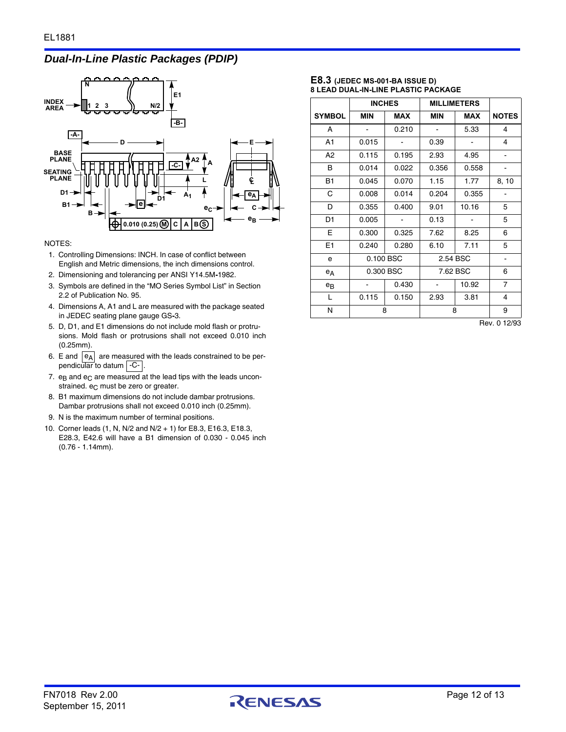#### *Dual-In-Line Plastic Packages (PDIP)*



#### NOTES:

- 1. Controlling Dimensions: INCH. In case of conflict between English and Metric dimensions, the inch dimensions control.
- 2. Dimensioning and tolerancing per ANSI Y14.5M**-**1982.
- 3. Symbols are defined in the "MO Series Symbol List" in Section 2.2 of Publication No. 95.
- 4. Dimensions A, A1 and L are measured with the package seated in JEDEC seating plane gauge GS**-**3.
- 5. D, D1, and E1 dimensions do not include mold flash or protrusions. Mold flash or protrusions shall not exceed 0.010 inch (0.25mm).
- 6. E and  $|e_A|$  are measured with the leads constrained to be perpendicular to datum | C- |.
- 7.  $e_B$  and  $e_C$  are measured at the lead tips with the leads unconstrained.  $e_C$  must be zero or greater.
- 8. B1 maximum dimensions do not include dambar protrusions. Dambar protrusions shall not exceed 0.010 inch (0.25mm).
- 9. N is the maximum number of terminal positions.
- 10. Corner leads (1, N, N/2 and N/2 + 1) for E8.3, E16.3, E18.3, E28.3, E42.6 will have a B1 dimension of 0.030 - 0.045 inch (0.76 - 1.14mm).

#### **E8.3 (JEDEC MS-001-BA ISSUE D) 8 LEAD DUAL-IN-LINE PLASTIC PACKAGE**

|                |            | <b>INCHES</b> | <b>MILLIMETERS</b> |            |                |
|----------------|------------|---------------|--------------------|------------|----------------|
| <b>SYMBOL</b>  | <b>MIN</b> | <b>MAX</b>    | MIN                | <b>MAX</b> | <b>NOTES</b>   |
| A              |            | 0.210         |                    | 5.33       | 4              |
| A1             | 0.015      |               | 0.39               |            | 4              |
| A <sub>2</sub> | 0.115      | 0.195         | 2.93               | 4.95       |                |
| В              | 0.014      | 0.022         | 0.356              | 0.558      |                |
| <b>B1</b>      | 0.045      | 0.070         | 1.15               | 1.77       | 8, 10          |
| C              | 0.008      | 0.014         | 0.204              | 0.355      |                |
| D              | 0.355      | 0.400         | 9.01               | 10.16      | 5              |
| D <sub>1</sub> | 0.005      |               | 0.13               |            | 5              |
| Е              | 0.300      | 0.325         | 7.62               | 8.25       | 6              |
| E1             | 0.240      | 0.280         | 6.10               | 7.11       | 5              |
| e              | 0.100 BSC  |               | 2.54 BSC           |            | -              |
| $e_A$          | 0.300 BSC  |               | 7.62 BSC           |            | 6              |
| $e_{B}$        |            | 0.430         |                    | 10.92      | $\overline{7}$ |
| L              | 0.115      | 0.150         | 2.93               | 3.81       | 4              |
| N              | 8          |               |                    | 8          | 9              |

Rev. 0 12/93